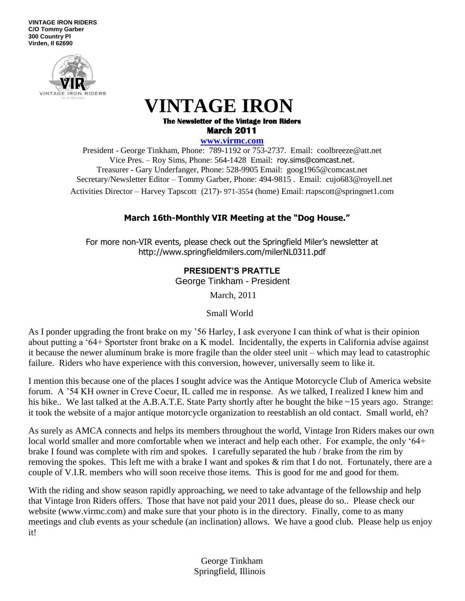**VINTAGE IRON RIDERS C/O Tommy Garber 300 Country Pl Virden, Il 62690**



# **VINTAGE IRON The Newsletter of the Vintage Iron Riders March 2011**

**www.virmc.com** 

President - George Tinkham, Phone: 789-1192 or 753-2737. Email: coolbreeze@att.net Vice Pres. – Roy Sims, Phone: 564-1428 Email: [roy.sims@comcast.net.](mailto:roy.sims@comcast.net) Treasurer - Gary Underfanger, Phone: 528-9905 Email: goog1965@comcast.net Secretary/Newsletter Editor – Tommy Garber, Phone: 494-9815 . Email: cujo683@royell.net Activities Director – Harvey Tapscott (217)- 971-3554 (home) Email: rtapscott@springnet1.com

# **March 16th-Monthly VIR Meeting at the "Dog House."**

For more non-VIR events, please check out the Springfield Miler's newsletter at http://www.springfieldmilers.com/milerNL0311.pdf

# **PRESIDENT'S PRATTLE**

George Tinkham - President

March, 2011

Small World

As I ponder upgrading the front brake on my "56 Harley, I ask everyone I can think of what is their opinion about putting a "64+ Sportster front brake on a K model. Incidentally, the experts in California advise against it because the newer aluminum brake is more fragile than the older steel unit – which may lead to catastrophic failure. Riders who have experience with this conversion, however, universally seem to like it.

I mention this because one of the places I sought advice was the Antique Motorcycle Club of America website forum. A "54 KH owner in Creve Coeur, IL called me in response. As we talked, I realized I knew him and his bike.. We last talked at the A.B.A.T.E. State Party shortly after he bought the bike ~15 years ago. Strange: it took the website of a major antique motorcycle organization to reestablish an old contact. Small world, eh?

As surely as AMCA connects and helps its members throughout the world, Vintage Iron Riders makes our own local world smaller and more comfortable when we interact and help each other. For example, the only '64+ brake I found was complete with rim and spokes. I carefully separated the hub / brake from the rim by removing the spokes. This left me with a brake I want and spokes & rim that I do not. Fortunately, there are a couple of V.I.R. members who will soon receive those items. This is good for me and good for them.

With the riding and show season rapidly approaching, we need to take advantage of the fellowship and help that Vintage Iron Riders offers. Those that have not paid your 2011 dues, please do so.. Please check our website (www.virmc.com) and make sure that your photo is in the directory. Finally, come to as many meetings and club events as your schedule (an inclination) allows. We have a good club. Please help us enjoy it!

> George Tinkham Springfield, Illinois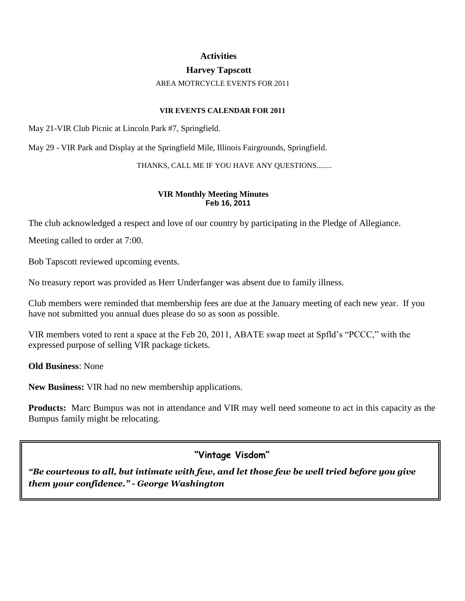#### **Activities**

### **Harvey Tapscott**

#### AREA MOTRCYCLE EVENTS FOR 2011

#### **VIR EVENTS CALENDAR FOR 2011**

May 21-VIR Club Picnic at Lincoln Park #7, Springfield.

May 29 - VIR Park and Display at the Springfield Mile, Illinois Fairgrounds, Springfield.

#### THANKS, CALL ME IF YOU HAVE ANY QUESTIONS........

#### **VIR Monthly Meeting Minutes Feb 16, 2011**

The club acknowledged a respect and love of our country by participating in the Pledge of Allegiance.

Meeting called to order at 7:00.

Bob Tapscott reviewed upcoming events.

No treasury report was provided as Herr Underfanger was absent due to family illness.

Club members were reminded that membership fees are due at the January meeting of each new year. If you have not submitted you annual dues please do so as soon as possible.

VIR members voted to rent a space at the Feb 20, 2011, ABATE swap meet at Spfld"s "PCCC," with the expressed purpose of selling VIR package tickets.

**Old Business**: None

**New Business:** VIR had no new membership applications.

**Products:** Marc Bumpus was not in attendance and VIR may well need someone to act in this capacity as the Bumpus family might be relocating.

**"Vintage Visdom"**

*"Be courteous to all, but intimate with few, and let those few be well tried before you give them your confidence." - George Washington*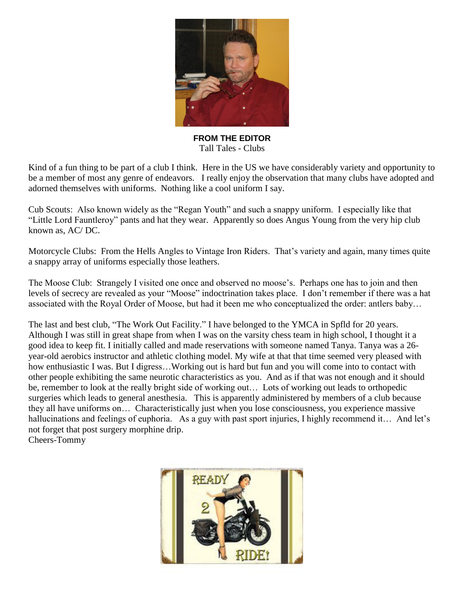

**FROM THE EDITOR** Tall Tales - Clubs

Kind of a fun thing to be part of a club I think. Here in the US we have considerably variety and opportunity to be a member of most any genre of endeavors. I really enjoy the observation that many clubs have adopted and adorned themselves with uniforms. Nothing like a cool uniform I say.

Cub Scouts: Also known widely as the "Regan Youth" and such a snappy uniform. I especially like that "Little Lord Fauntleroy" pants and hat they wear. Apparently so does Angus Young from the very hip club known as, AC/ DC.

Motorcycle Clubs: From the Hells Angles to Vintage Iron Riders. That's variety and again, many times quite a snappy array of uniforms especially those leathers.

The Moose Club: Strangely I visited one once and observed no moose"s. Perhaps one has to join and then levels of secrecy are revealed as your "Moose" indoctrination takes place. I don"t remember if there was a hat associated with the Royal Order of Moose, but had it been me who conceptualized the order: antlers baby…

The last and best club, "The Work Out Facility." I have belonged to the YMCA in Spfld for 20 years. Although I was still in great shape from when I was on the varsity chess team in high school, I thought it a good idea to keep fit. I initially called and made reservations with someone named Tanya. Tanya was a 26 year-old aerobics instructor and athletic clothing model. My wife at that that time seemed very pleased with how enthusiastic I was. But I digress...Working out is hard but fun and you will come into to contact with other people exhibiting the same neurotic characteristics as you. And as if that was not enough and it should be, remember to look at the really bright side of working out… Lots of working out leads to orthopedic surgeries which leads to general anesthesia. This is apparently administered by members of a club because they all have uniforms on… Characteristically just when you lose consciousness, you experience massive hallucinations and feelings of euphoria. As a guy with past sport injuries, I highly recommend it… And let's not forget that post surgery morphine drip. Cheers-Tommy